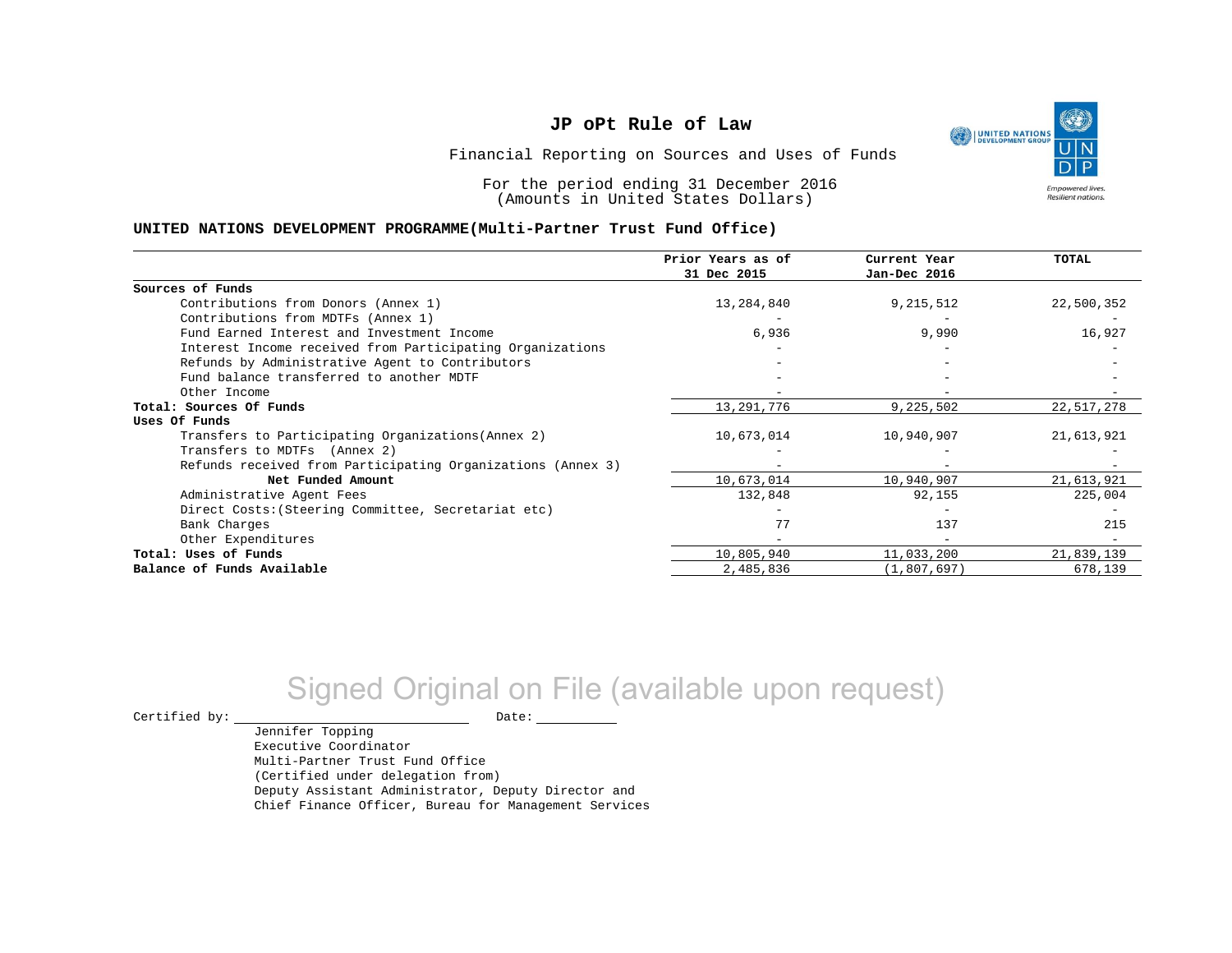

Financial Reporting on Sources and Uses of Funds

For the period ending 31 December 2016 (Amounts in United States Dollars)

#### **UNITED NATIONS DEVELOPMENT PROGRAMME(Multi-Partner Trust Fund Office)**

|                                                             | Prior Years as of<br>31 Dec 2015 | Current Year<br>Jan-Dec 2016 | TOTAL      |
|-------------------------------------------------------------|----------------------------------|------------------------------|------------|
| Sources of Funds                                            |                                  |                              |            |
| Contributions from Donors (Annex 1)                         | 13,284,840                       | 9,215,512                    | 22,500,352 |
| Contributions from MDTFs (Annex 1)                          |                                  |                              |            |
| Fund Earned Interest and Investment Income                  | 6,936                            | 9,990                        | 16,927     |
| Interest Income received from Participating Organizations   |                                  |                              |            |
| Refunds by Administrative Agent to Contributors             |                                  |                              |            |
| Fund balance transferred to another MDTF                    |                                  |                              |            |
| Other Income                                                |                                  |                              |            |
| Total: Sources Of Funds                                     | 13,291,776                       | 9,225,502                    | 22,517,278 |
| Uses Of Funds                                               |                                  |                              |            |
| Transfers to Participating Organizations (Annex 2)          | 10,673,014                       | 10,940,907                   | 21,613,921 |
| Transfers to MDTFs (Annex 2)                                |                                  |                              |            |
| Refunds received from Participating Organizations (Annex 3) |                                  |                              |            |
| Net Funded Amount                                           | 10,673,014                       | 10,940,907                   | 21,613,921 |
| Administrative Agent Fees                                   | 132,848                          | 92,155                       | 225,004    |
| Direct Costs: (Steering Committee, Secretariat etc)         |                                  |                              |            |
| Bank Charges                                                | 77                               | 137                          | 215        |
| Other Expenditures                                          |                                  | $\qquad \qquad -$            |            |
| Total: Uses of Funds                                        | 10,805,940                       | 11,033,200                   | 21,839,139 |
| Balance of Funds Available                                  | 2,485,836                        | (1,807,697)                  | 678,139    |

# Signed Original on File (available upon request)

 $\begin{picture}(180,180)(0,0) \put(0,0){\vector(1,0){180}} \put(15,0){\vector(1,0){180}} \put(15,0){\vector(1,0){180}} \put(15,0){\vector(1,0){180}} \put(15,0){\vector(1,0){180}} \put(15,0){\vector(1,0){180}} \put(15,0){\vector(1,0){180}} \put(15,0){\vector(1,0){180}} \put(15,0){\vector(1,0){180}} \put(15,0){\vector(1,0){180}} \put(15,0){\vector(1,0$ 

Jennifer Topping Executive Coordinator Multi-Partner Trust Fund Office (Certified under delegation from) Deputy Assistant Administrator, Deputy Director and Chief Finance Officer, Bureau for Management Services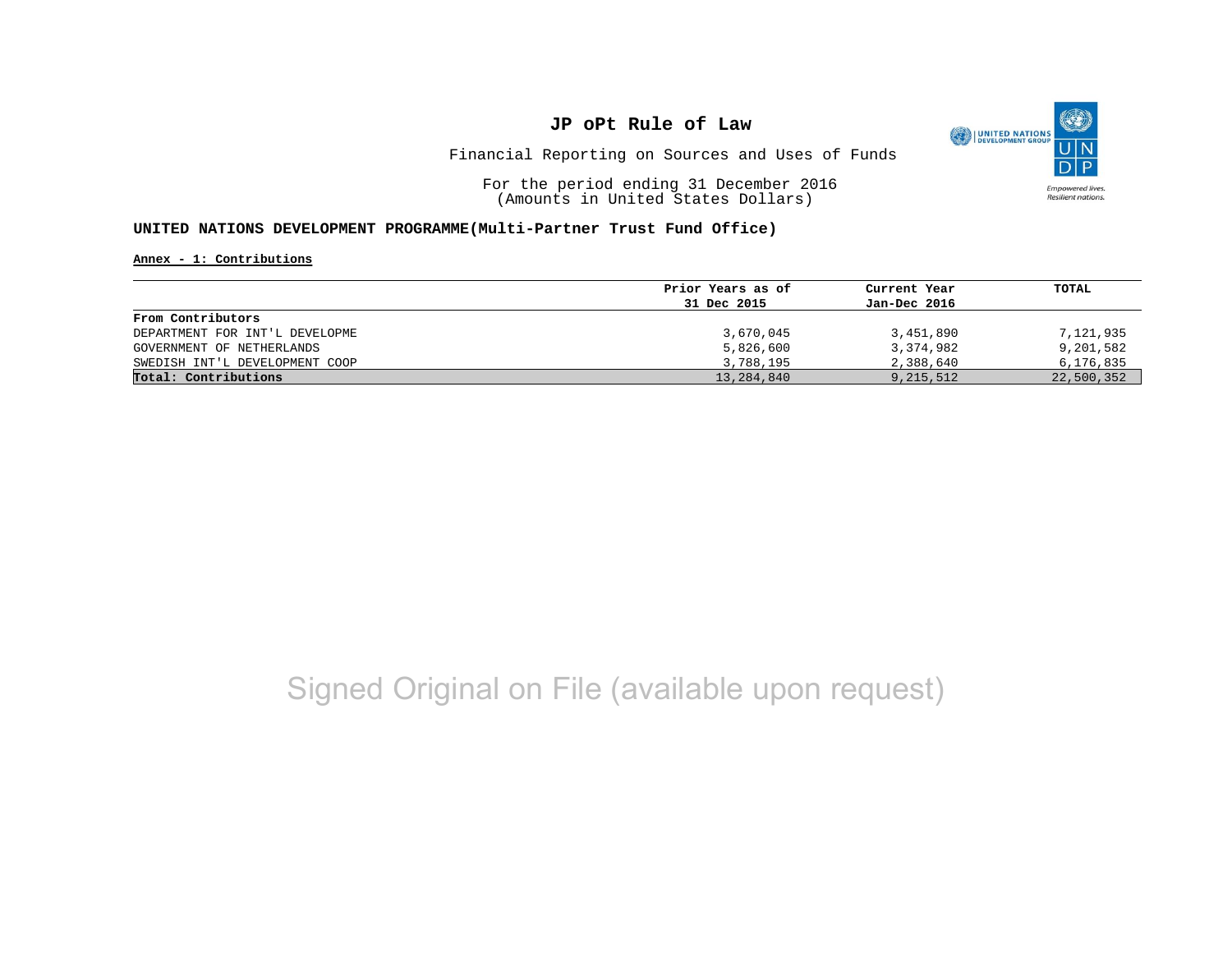

Financial Reporting on Sources and Uses of Funds

For the period ending 31 December 2016 (Amounts in United States Dollars)

#### **UNITED NATIONS DEVELOPMENT PROGRAMME(Multi-Partner Trust Fund Office)**

**Annex - 1: Contributions**

|                                | Prior Years as of | Current Year | TOTAL      |
|--------------------------------|-------------------|--------------|------------|
|                                | 31 Dec 2015       | Jan-Dec 2016 |            |
| From Contributors              |                   |              |            |
| DEPARTMENT FOR INT'L DEVELOPME | 3,670,045         | 3,451,890    | 7,121,935  |
| GOVERNMENT OF NETHERLANDS      | 5,826,600         | 3,374,982    | 9,201,582  |
| SWEDISH INT'L DEVELOPMENT COOP | 3,788,195         | 2,388,640    | 6,176,835  |
| Total: Contributions           | 13,284,840        | 9,215,512    | 22,500,352 |

# Signed Original on File (available upon request)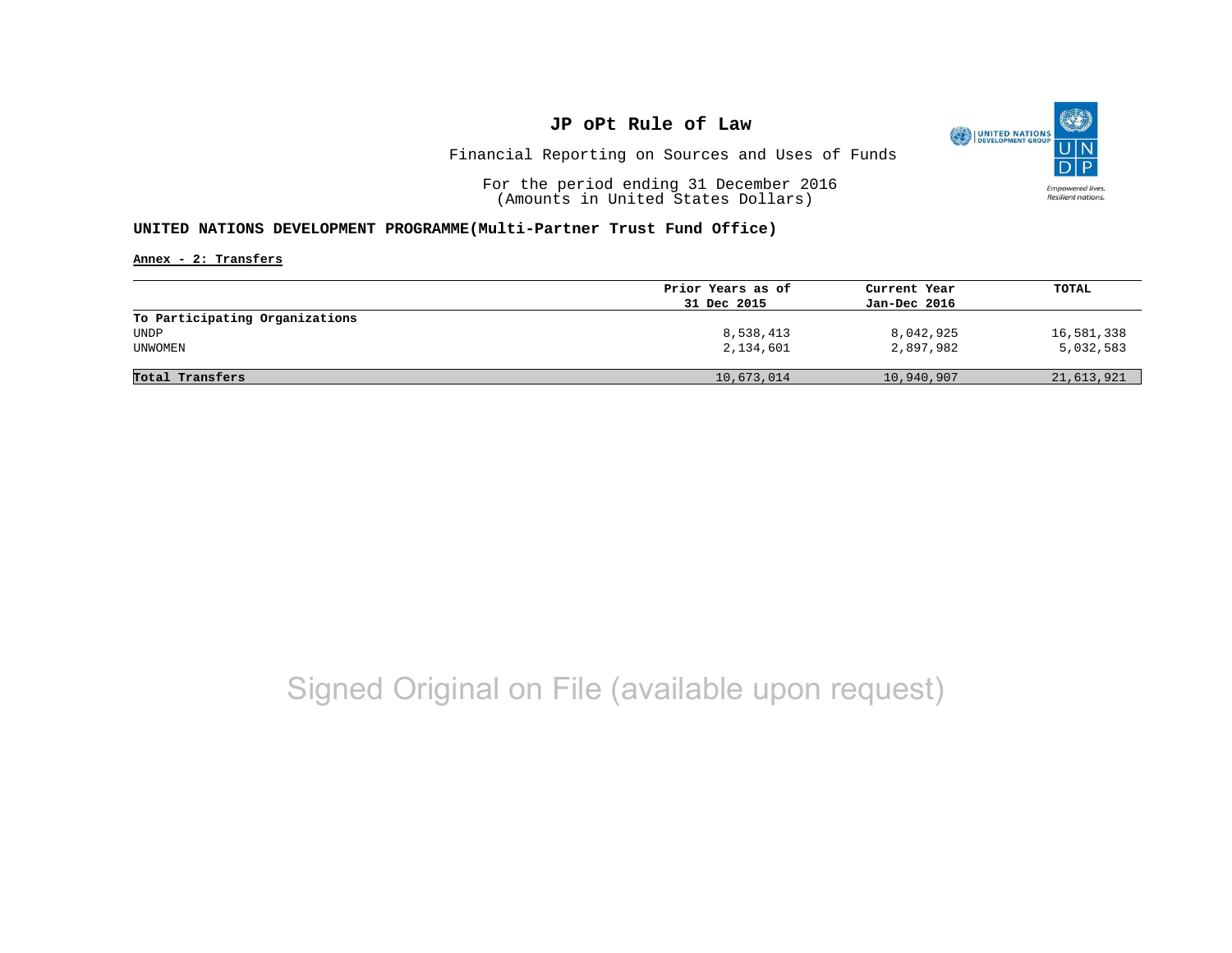

Financial Reporting on Sources and Uses of Funds

For the period ending 31 December 2016 (Amounts in United States Dollars)

#### **UNITED NATIONS DEVELOPMENT PROGRAMME(Multi-Partner Trust Fund Office)**

**Annex - 2: Transfers**

|                                | Prior Years as of | Current Year | TOTAL      |
|--------------------------------|-------------------|--------------|------------|
|                                | 31 Dec 2015       | Jan-Dec 2016 |            |
| To Participating Organizations |                   |              |            |
| UNDP                           | 8,538,413         | 8,042,925    | 16,581,338 |
| UNWOMEN                        | 2,134,601         | 2,897,982    | 5,032,583  |
|                                |                   |              |            |
| Total Transfers                | 10,673,014        | 10,940,907   | 21,613,921 |
|                                |                   |              |            |

# Signed Original on File (available upon request)